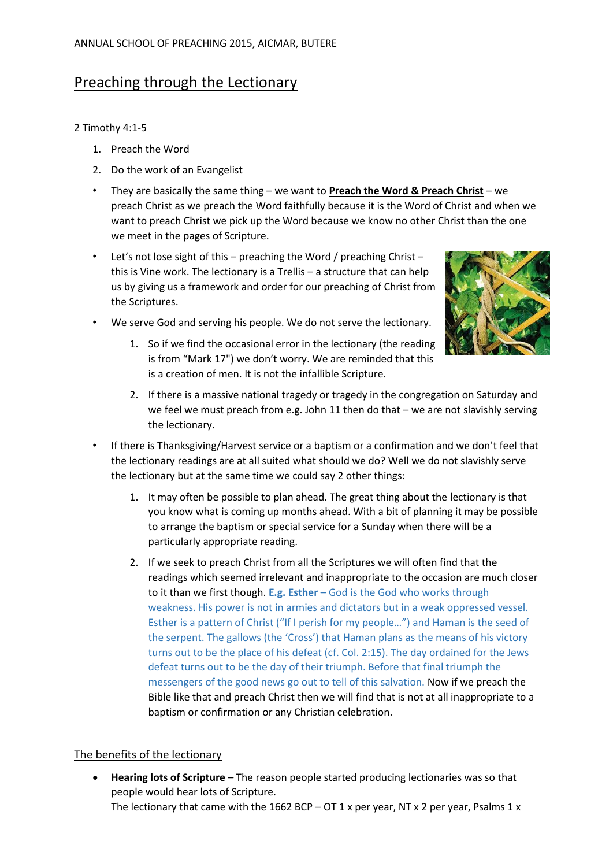# Preaching through the Lectionary

# 2 Timothy 4:1-5

- 1. Preach the Word
- 2. Do the work of an Evangelist
- They are basically the same thing we want to **Preach the Word & Preach Christ** we preach Christ as we preach the Word faithfully because it is the Word of Christ and when we want to preach Christ we pick up the Word because we know no other Christ than the one we meet in the pages of Scripture.
- Let's not lose sight of this preaching the Word / preaching Christ this is Vine work. The lectionary is a Trellis – a structure that can help us by giving us a framework and order for our preaching of Christ from the Scriptures.



- We serve God and serving his people. We do not serve the lectionary.
	- 1. So if we find the occasional error in the lectionary (the reading is from "Mark 17") we don't worry. We are reminded that this is a creation of men. It is not the infallible Scripture.
	- 2. If there is a massive national tragedy or tragedy in the congregation on Saturday and we feel we must preach from e.g. John 11 then do that – we are not slavishly serving the lectionary.
- If there is Thanksgiving/Harvest service or a baptism or a confirmation and we don't feel that the lectionary readings are at all suited what should we do? Well we do not slavishly serve the lectionary but at the same time we could say 2 other things:
	- 1. It may often be possible to plan ahead. The great thing about the lectionary is that you know what is coming up months ahead. With a bit of planning it may be possible to arrange the baptism or special service for a Sunday when there will be a particularly appropriate reading.
	- 2. If we seek to preach Christ from all the Scriptures we will often find that the readings which seemed irrelevant and inappropriate to the occasion are much closer to it than we first though. **E.g. Esther** – God is the God who works through weakness. His power is not in armies and dictators but in a weak oppressed vessel. Esther is a pattern of Christ ("If I perish for my people…") and Haman is the seed of the serpent. The gallows (the 'Cross') that Haman plans as the means of his victory turns out to be the place of his defeat (cf. Col. 2:15). The day ordained for the Jews defeat turns out to be the day of their triumph. Before that final triumph the messengers of the good news go out to tell of this salvation. Now if we preach the Bible like that and preach Christ then we will find that is not at all inappropriate to a baptism or confirmation or any Christian celebration.

# The benefits of the lectionary

 **Hearing lots of Scripture** – The reason people started producing lectionaries was so that people would hear lots of Scripture. The lectionary that came with the 1662 BCP –  $OT 1 x$  per year, NT x 2 per year, Psalms 1 x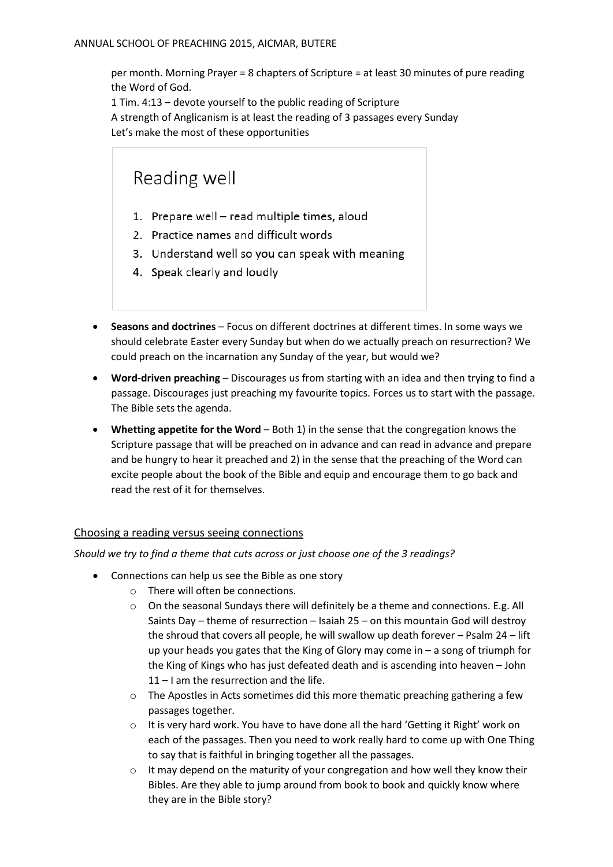per month. Morning Prayer = 8 chapters of Scripture = at least 30 minutes of pure reading the Word of God.

1 Tim. 4:13 – devote yourself to the public reading of Scripture A strength of Anglicanism is at least the reading of 3 passages every Sunday Let's make the most of these opportunities

# Reading well

- 1. Prepare well read multiple times, aloud
- 2. Practice names and difficult words
- 3. Understand well so you can speak with meaning
- 4. Speak clearly and loudly
- **Seasons and doctrines** Focus on different doctrines at different times. In some ways we should celebrate Easter every Sunday but when do we actually preach on resurrection? We could preach on the incarnation any Sunday of the year, but would we?
- **Word-driven preaching** Discourages us from starting with an idea and then trying to find a passage. Discourages just preaching my favourite topics. Forces us to start with the passage. The Bible sets the agenda.
- **Whetting appetite for the Word** Both 1) in the sense that the congregation knows the Scripture passage that will be preached on in advance and can read in advance and prepare and be hungry to hear it preached and 2) in the sense that the preaching of the Word can excite people about the book of the Bible and equip and encourage them to go back and read the rest of it for themselves.

# Choosing a reading versus seeing connections

*Should we try to find a theme that cuts across or just choose one of the 3 readings?*

- Connections can help us see the Bible as one story
	- o There will often be connections.
	- $\circ$  On the seasonal Sundays there will definitely be a theme and connections. E.g. All Saints Day – theme of resurrection – Isaiah 25 – on this mountain God will destroy the shroud that covers all people, he will swallow up death forever – Psalm 24 – lift up your heads you gates that the King of Glory may come in – a song of triumph for the King of Kings who has just defeated death and is ascending into heaven – John 11 – I am the resurrection and the life.
	- $\circ$  The Apostles in Acts sometimes did this more thematic preaching gathering a few passages together.
	- $\circ$  It is very hard work. You have to have done all the hard 'Getting it Right' work on each of the passages. Then you need to work really hard to come up with One Thing to say that is faithful in bringing together all the passages.
	- $\circ$  It may depend on the maturity of your congregation and how well they know their Bibles. Are they able to jump around from book to book and quickly know where they are in the Bible story?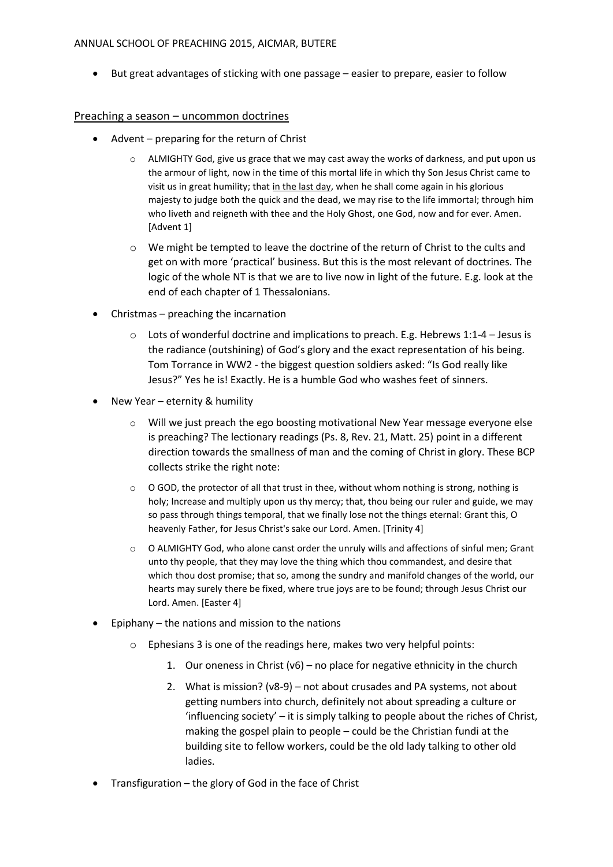#### ANNUAL SCHOOL OF PREACHING 2015, AICMAR, BUTERE

But great advantages of sticking with one passage – easier to prepare, easier to follow

#### Preaching a season – uncommon doctrines

- Advent preparing for the return of Christ
	- $\circ$  ALMIGHTY God, give us grace that we may cast away the works of darkness, and put upon us the armour of light, now in the time of this mortal life in which thy Son Jesus Christ came to visit us in great humility; that in the last day, when he shall come again in his glorious majesty to judge both the quick and the dead, we may rise to the life immortal; through him who liveth and reigneth with thee and the Holy Ghost, one God, now and for ever. Amen. [Advent 1]
	- $\circ$  We might be tempted to leave the doctrine of the return of Christ to the cults and get on with more 'practical' business. But this is the most relevant of doctrines. The logic of the whole NT is that we are to live now in light of the future. E.g. look at the end of each chapter of 1 Thessalonians.
- Christmas preaching the incarnation
	- $\circ$  Lots of wonderful doctrine and implications to preach. E.g. Hebrews 1:1-4 Jesus is the radiance (outshining) of God's glory and the exact representation of his being. Tom Torrance in WW2 - the biggest question soldiers asked: "Is God really like Jesus?" Yes he is! Exactly. He is a humble God who washes feet of sinners.
- New Year eternity & humility
	- $\circ$  Will we just preach the ego boosting motivational New Year message everyone else is preaching? The lectionary readings (Ps. 8, Rev. 21, Matt. 25) point in a different direction towards the smallness of man and the coming of Christ in glory. These BCP collects strike the right note:
	- $\circ$  O GOD, the protector of all that trust in thee, without whom nothing is strong, nothing is holy; Increase and multiply upon us thy mercy; that, thou being our ruler and guide, we may so pass through things temporal, that we finally lose not the things eternal: Grant this, O heavenly Father, for Jesus Christ's sake our Lord. Amen. [Trinity 4]
	- $\circ$  O ALMIGHTY God, who alone canst order the unruly wills and affections of sinful men; Grant unto thy people, that they may love the thing which thou commandest, and desire that which thou dost promise; that so, among the sundry and manifold changes of the world, our hearts may surely there be fixed, where true joys are to be found; through Jesus Christ our Lord. Amen. [Easter 4]
- $\bullet$  Epiphany the nations and mission to the nations
	- o Ephesians 3 is one of the readings here, makes two very helpful points:
		- 1. Our oneness in Christ  $(v6)$  no place for negative ethnicity in the church
		- 2. What is mission? (v8-9) not about crusades and PA systems, not about getting numbers into church, definitely not about spreading a culture or 'influencing society' – it is simply talking to people about the riches of Christ, making the gospel plain to people – could be the Christian fundi at the building site to fellow workers, could be the old lady talking to other old ladies.
- Transfiguration the glory of God in the face of Christ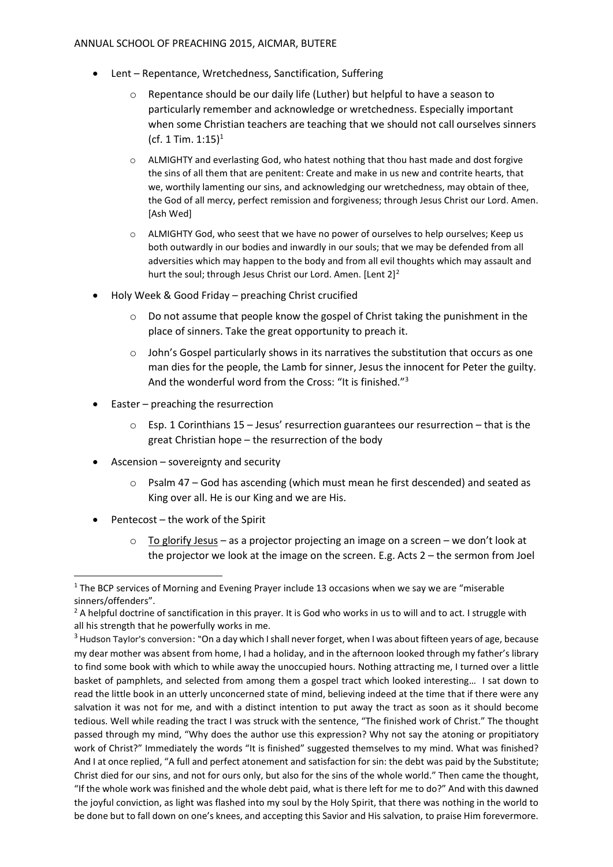#### ANNUAL SCHOOL OF PREACHING 2015, AICMAR, BUTERE

- Lent Repentance, Wretchedness, Sanctification, Suffering
	- Repentance should be our daily life (Luther) but helpful to have a season to particularly remember and acknowledge or wretchedness. Especially important when some Christian teachers are teaching that we should not call ourselves sinners (cf. 1 Tim.  $1:15$ )<sup>1</sup>
	- o ALMIGHTY and everlasting God, who hatest nothing that thou hast made and dost forgive the sins of all them that are penitent: Create and make in us new and contrite hearts, that we, worthily lamenting our sins, and acknowledging our wretchedness, may obtain of thee, the God of all mercy, perfect remission and forgiveness; through Jesus Christ our Lord. Amen. [Ash Wed]
	- $\circ$  ALMIGHTY God, who seest that we have no power of ourselves to help ourselves; Keep us both outwardly in our bodies and inwardly in our souls; that we may be defended from all adversities which may happen to the body and from all evil thoughts which may assault and hurt the soul; through Jesus Christ our Lord. Amen. [Lent 2]<sup>2</sup>
- Holy Week & Good Friday preaching Christ crucified
	- Do not assume that people know the gospel of Christ taking the punishment in the place of sinners. Take the great opportunity to preach it.
	- $\circ$  John's Gospel particularly shows in its narratives the substitution that occurs as one man dies for the people, the Lamb for sinner, Jesus the innocent for Peter the guilty. And the wonderful word from the Cross: "It is finished."<sup>3</sup>
- $\bullet$  Easter preaching the resurrection
	- $\circ$  Esp. 1 Corinthians 15 Jesus' resurrection guarantees our resurrection that is the great Christian hope – the resurrection of the body
- Ascension sovereignty and security
	- $\circ$  Psalm 47 God has ascending (which must mean he first descended) and seated as King over all. He is our King and we are His.
- $\bullet$  Pentecost the work of the Spirit

1

 $\circ$  To glorify Jesus – as a projector projecting an image on a screen – we don't look at the projector we look at the image on the screen. E.g. Acts 2 – the sermon from Joel

 $1$  The BCP services of Morning and Evening Prayer include 13 occasions when we say we are "miserable" sinners/offenders".

<sup>&</sup>lt;sup>2</sup> A helpful doctrine of sanctification in this prayer. It is God who works in us to will and to act. I struggle with all his strength that he powerfully works in me.

<sup>&</sup>lt;sup>3</sup> Hudson Taylor's conversion: "On a day which I shall never forget, when I was about fifteen years of age, because my dear mother was absent from home, I had a holiday, and in the afternoon looked through my father's library to find some book with which to while away the unoccupied hours. Nothing attracting me, I turned over a little basket of pamphlets, and selected from among them a gospel tract which looked interesting… I sat down to read the little book in an utterly unconcerned state of mind, believing indeed at the time that if there were any salvation it was not for me, and with a distinct intention to put away the tract as soon as it should become tedious. Well while reading the tract I was struck with the sentence, "The finished work of Christ." The thought passed through my mind, "Why does the author use this expression? Why not say the atoning or propitiatory work of Christ?" Immediately the words "It is finished" suggested themselves to my mind. What was finished? And I at once replied, "A full and perfect atonement and satisfaction for sin: the debt was paid by the Substitute; Christ died for our sins, and not for ours only, but also for the sins of the whole world." Then came the thought, "If the whole work was finished and the whole debt paid, what is there left for me to do?" And with this dawned the joyful conviction, as light was flashed into my soul by the Holy Spirit, that there was nothing in the world to be done but to fall down on one's knees, and accepting this Savior and His salvation, to praise Him forevermore.